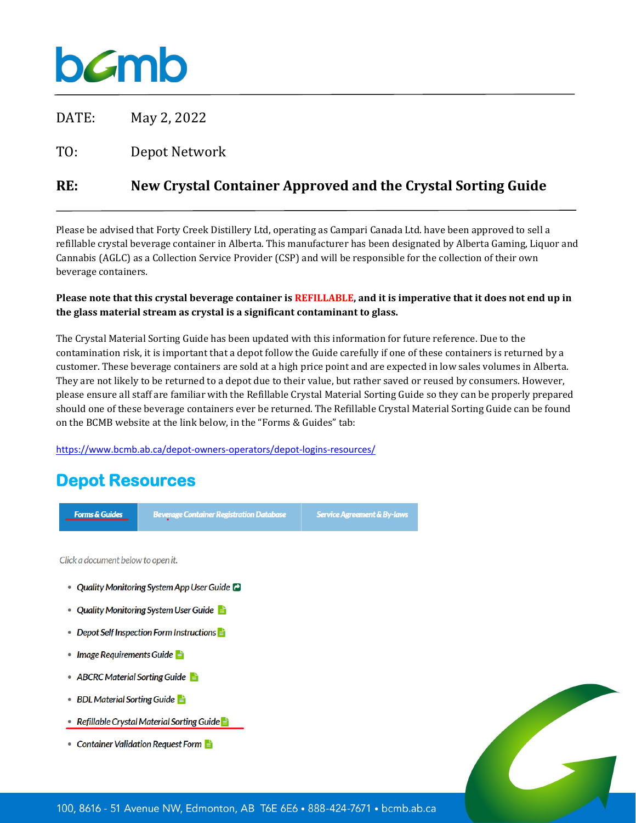# bamb

DATE: May 2, 2022

 $T()$ Depot Network

#### **RE: New Crystal Container Approved and the Crystal Sorting Guide**

Please be advised that Forty Creek Distillery Ltd, operating as Campari Canada Ltd. have been approved to sell a refillable crystal beverage container in Alberta. This manufacturer has been designated by Alberta Gaming, Liquor and Cannabis (AGLC) as a Collection Service Provider (CSP) and will be responsible for the collection of their own beverage containers.

### **Please note that this crystal beverage container is REFILLABLE, and it is imperative that it does not end up in the glass material stream as crystal is a significant contaminant to glass.**

The Crystal Material Sorting Guide has been updated with this information for future reference. Due to the contamination risk, it is important that a depot follow the Guide carefully if one of these containers is returned by a customer. These beverage containers are sold at a high price point and are expected in low sales volumes in Alberta. They are not likely to be returned to a depot due to their value, but rather saved or reused by consumers. However, please ensure all staff are familiar with the Refillable Crystal Material Sorting Guide so they can be properly prepared should one of these beverage containers ever be returned. The Refillable Crystal Material Sorting Guide can be found on the BCMB website at the link below, in the "Forms & Guides" tab:

<https://www.bcmb.ab.ca/depot-owners-operators/depot-logins-resources/>

## **Depot Resources**